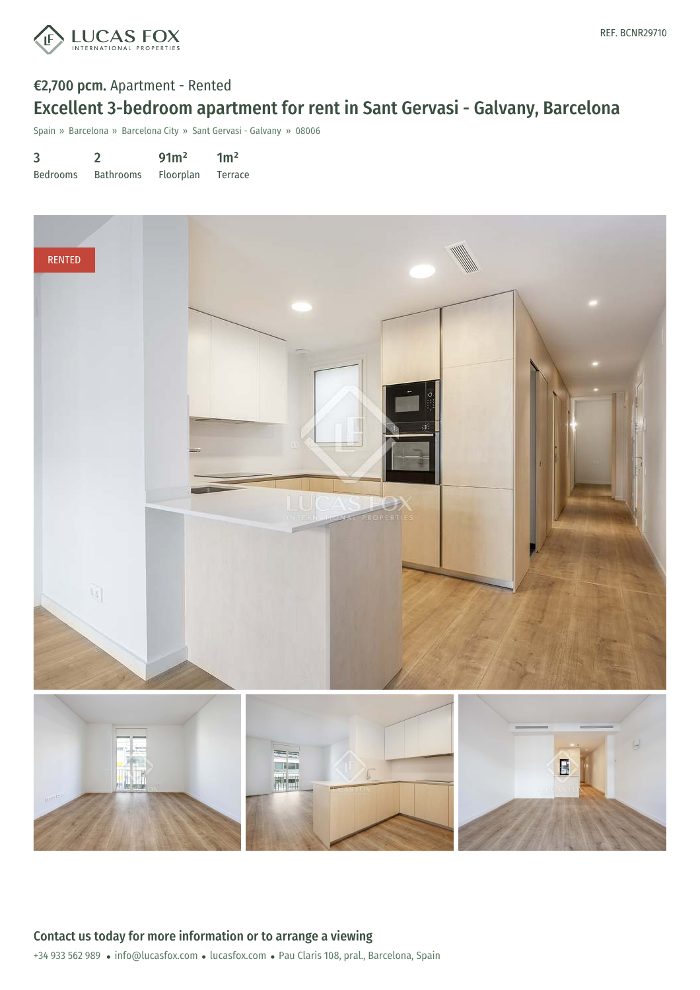

# €2,700 pcm. Apartment - Rented Excellent 3-bedroom apartment for rent in Sant Gervasi - Galvany, Barcelona

Spain » Barcelona » Barcelona City » Sant Gervasi - Galvany » 08006

| 3               |                  | 91m <sup>2</sup> | 1m <sup>2</sup> |
|-----------------|------------------|------------------|-----------------|
| <b>Bedrooms</b> | <b>Bathrooms</b> | Floorplan        | Terrace         |

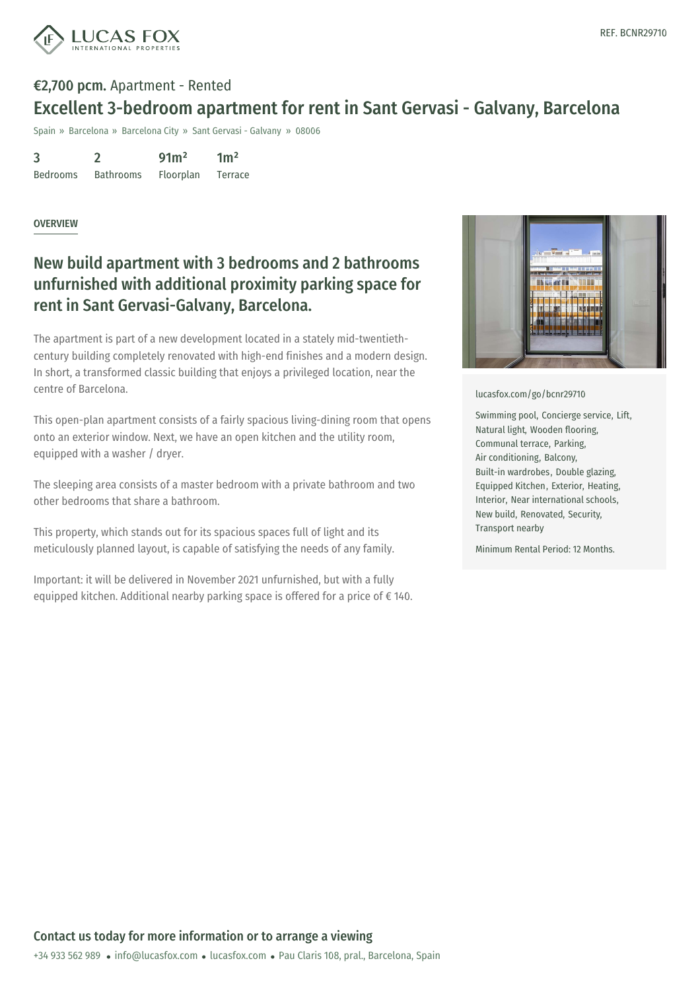

## €2,700 pcm. Apartment - Rented Excellent 3-bedroom apartment for rent in Sant Gervasi - Galvany, Barcelona

Spain » Barcelona » Barcelona City » Sant Gervasi - Galvany » 08006

| 3               |                  | 91m <sup>2</sup> | 1m <sup>2</sup> |
|-----------------|------------------|------------------|-----------------|
| <b>Bedrooms</b> | <b>Bathrooms</b> | <b>Floorplan</b> | Terrace         |

### OVERVIEW

## New build apartment with 3 bedrooms and 2 bathrooms unfurnished with additional proximity parking space for rent in Sant Gervasi-Galvany, Barcelona.

The apartment is part of a new development located in a stately mid-twentiethcentury building completely renovated with high-end finishes and a modern design. In short, a transformed classic building that enjoys a privileged location, near the centre of Barcelona.

This open-plan apartment consists of a fairly spacious living-dining room that opens onto an exterior window. Next, we have an open kitchen and the utility room, equipped with a washer / dryer.

The sleeping area consists of a master bedroom with a private bathroom and two other bedrooms that share a bathroom.

This property, which stands out for its spacious spaces full of light and its meticulously planned layout, is capable of satisfying the needs of any family.

Important: it will be delivered in November 2021 unfurnished, but with a fully equipped kitchen. Additional nearby parking space is offered for a price of € 140.



#### [lucasfox.com/go/bcnr29710](https://www.lucasfox.com/go/bcnr29710)

Swimming pool, Concierge service, Lift, Natural light, Wooden flooring, Communal terrace, Parking, Air conditioning, Balcony, Built-in wardrobes, Double glazing, Equipped Kitchen, Exterior, Heating, Interior, Near international schools, New build, Renovated, Security, Transport nearby

Minimum Rental Period: 12 Months.